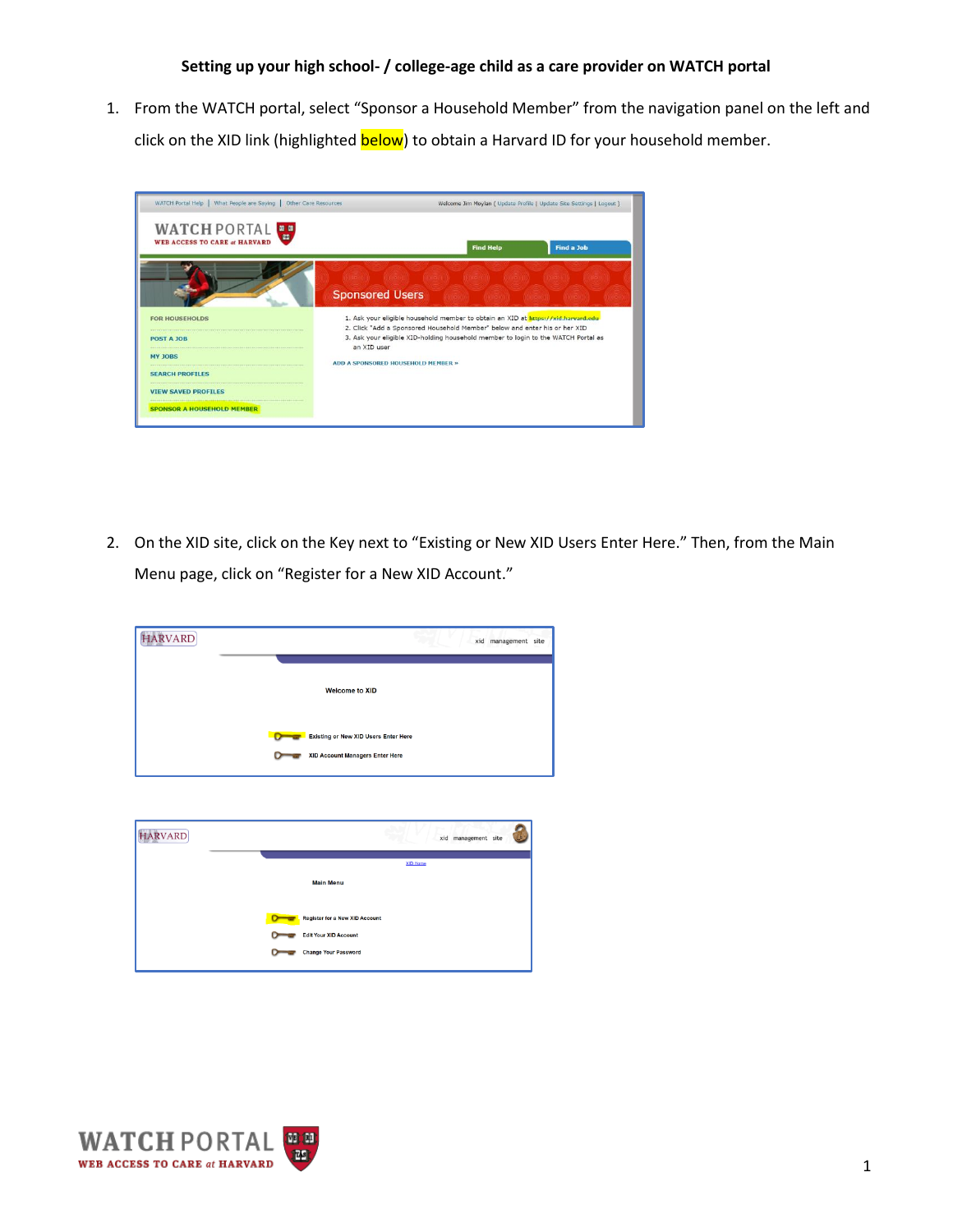1. From the WATCH portal, select "Sponsor a Household Member" from the navigation panel on the left and click on the XID link (highlighted **below**) to obtain a Harvard ID for your household member.



2. On the XID site, click on the Key next to "Existing or New XID Users Enter Here." Then, from the Main Menu page, click on "Register for a New XID Account."

| <b>HARVARD</b> | xid management site                                                            |
|----------------|--------------------------------------------------------------------------------|
|                | <b>Welcome to XID</b>                                                          |
|                | <b>Existing or New XID Users Enter Here</b><br>XID Account Managers Enter Here |
|                |                                                                                |
| <b>HARVARD</b> | xid management site                                                            |
|                | XID Home                                                                       |
|                | <b>Main Menu</b>                                                               |
|                | <b>Register for a New XID Account</b>                                          |
|                | <b>Edit Your XID Account</b><br><b>Change Your Password</b>                    |
|                |                                                                                |

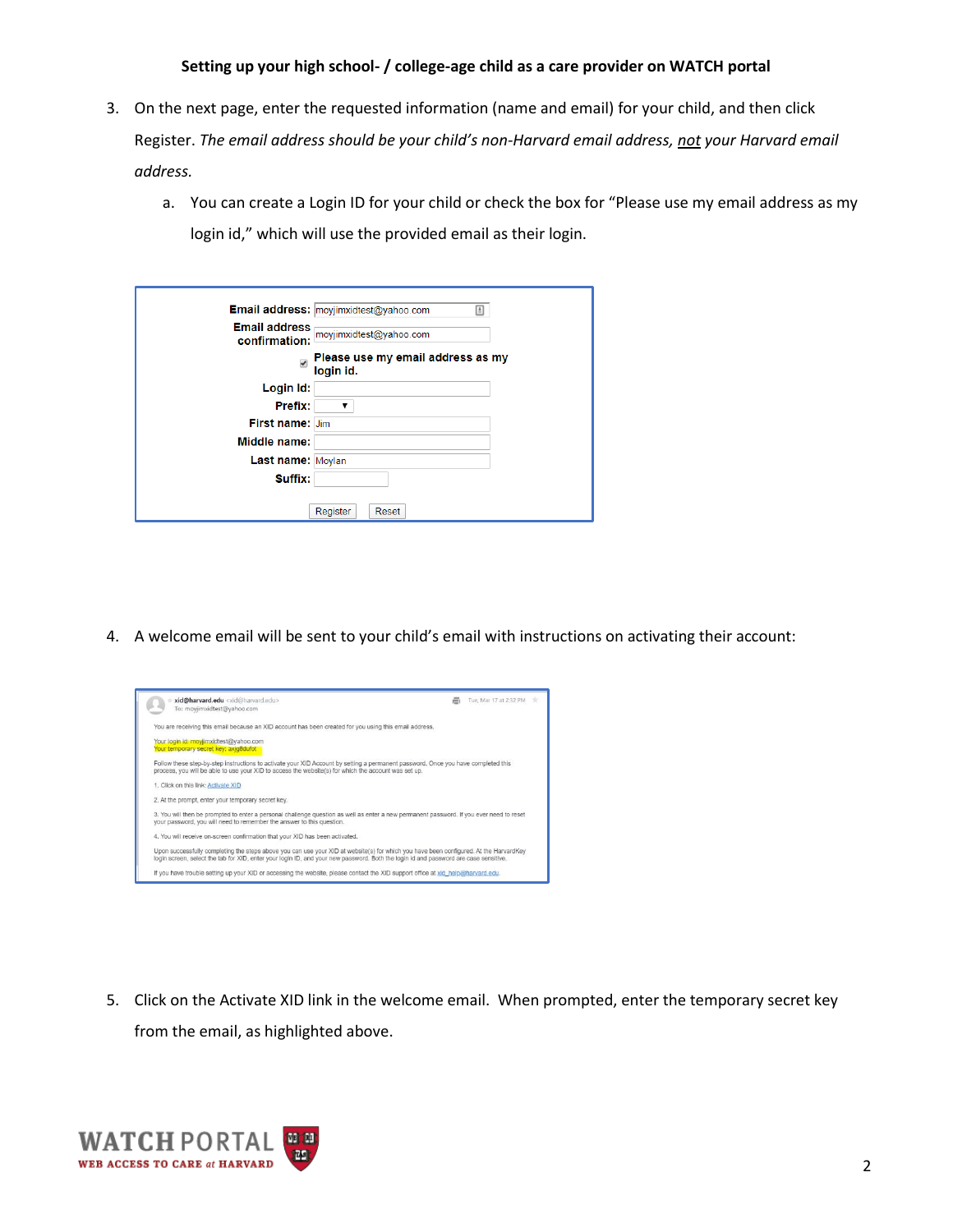## **Setting up your high school- / college-age child as a care provider on WATCH portal**

- 3. On the next page, enter the requested information (name and email) for your child, and then click Register. *The email address should be your child's non-Harvard email address, not your Harvard email address.*
	- a. You can create a Login ID for your child or check the box for "Please use my email address as my login id," which will use the provided email as their login.

|                                       | Email address: moyjimxidtest@yahoo.com<br>$\triangleq$ |
|---------------------------------------|--------------------------------------------------------|
| <b>Email address</b><br>confirmation: | moyjimxidtest@yahoo.com                                |
| $\overline{\mathbf{v}}$               | Please use my email address as my<br>login id.         |
| Login Id:                             |                                                        |
| Prefix:                               | ▼                                                      |
| <b>First name: Jim</b>                |                                                        |
| Middle name:                          |                                                        |
| Last name: Moylan                     |                                                        |
| Suffix:                               |                                                        |
|                                       |                                                        |
|                                       | Register<br>Reset                                      |

4. A welcome email will be sent to your child's email with instructions on activating their account:



5. Click on the Activate XID link in the welcome email. When prompted, enter the temporary secret key from the email, as highlighted above.

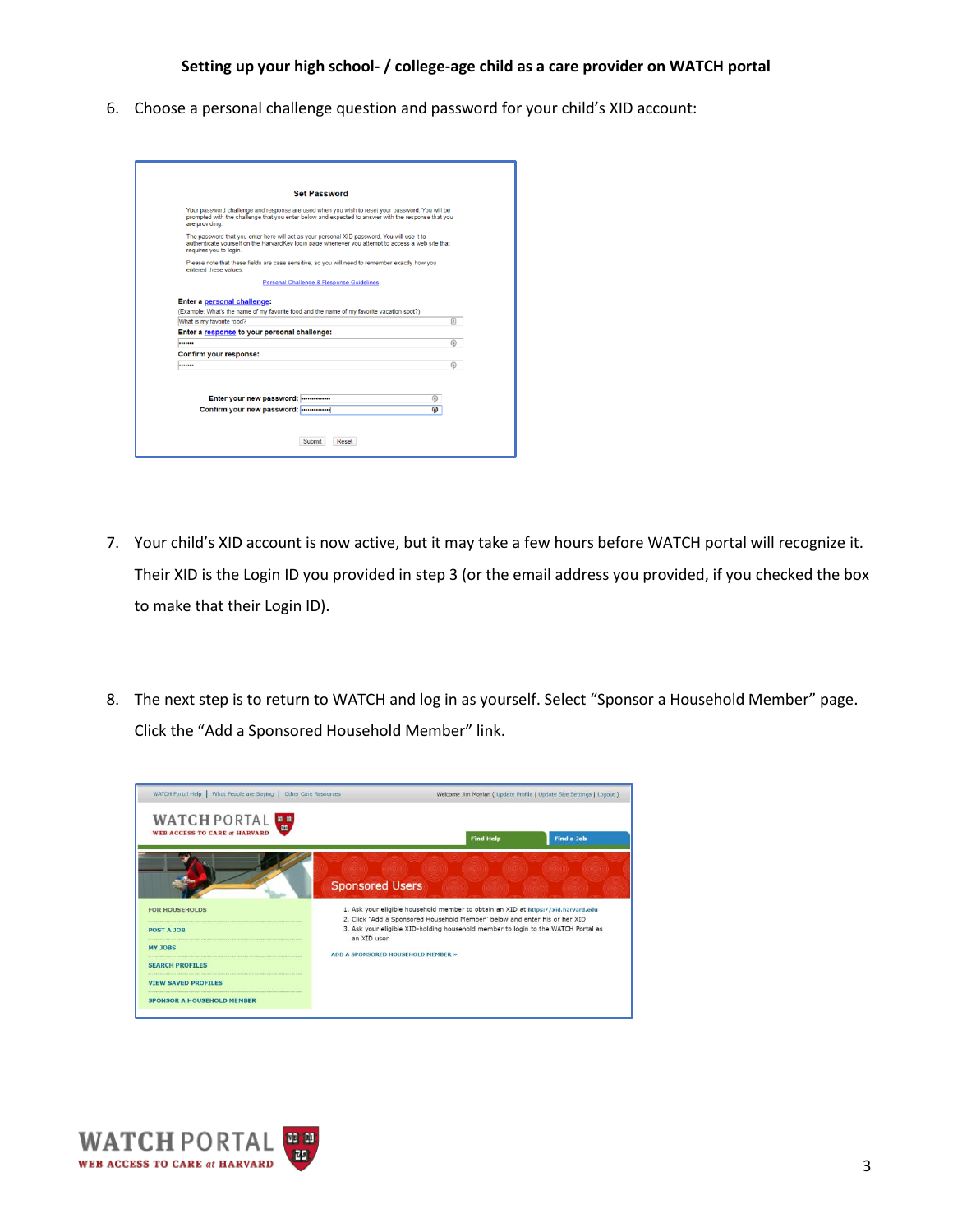## **Setting up your high school- / college-age child as a care provider on WATCH portal**

6. Choose a personal challenge question and password for your child's XID account:

| Your password challenge and response are used when you wish to reset your password. You will be<br>prompted with the challenge that you enter below and expected to answer with the response that you<br>are providing.<br>The password that you enter here will act as your personal XID password. You will use it to |         |
|------------------------------------------------------------------------------------------------------------------------------------------------------------------------------------------------------------------------------------------------------------------------------------------------------------------------|---------|
|                                                                                                                                                                                                                                                                                                                        |         |
| authenticate vourself on the HarvardKey login page whenever you attempt to access a web site that<br>requires you to login.                                                                                                                                                                                            |         |
| Please note that these fields are case sensitive, so you will need to remember exactly how you<br>entered these values.                                                                                                                                                                                                |         |
| Personal Challenge & Response Guidelines                                                                                                                                                                                                                                                                               |         |
| What is my favorite food?<br>Enter a response to your personal challenge:                                                                                                                                                                                                                                              | 圓       |
|                                                                                                                                                                                                                                                                                                                        | $\circ$ |
| Confirm your response:                                                                                                                                                                                                                                                                                                 |         |
|                                                                                                                                                                                                                                                                                                                        | $\circ$ |

- 7. Your child's XID account is now active, but it may take a few hours before WATCH portal will recognize it. Their XID is the Login ID you provided in step 3 (or the email address you provided, if you checked the box to make that their Login ID).
- 8. The next step is to return to WATCH and log in as yourself. Select "Sponsor a Household Member" page. Click the "Add a Sponsored Household Member" link.